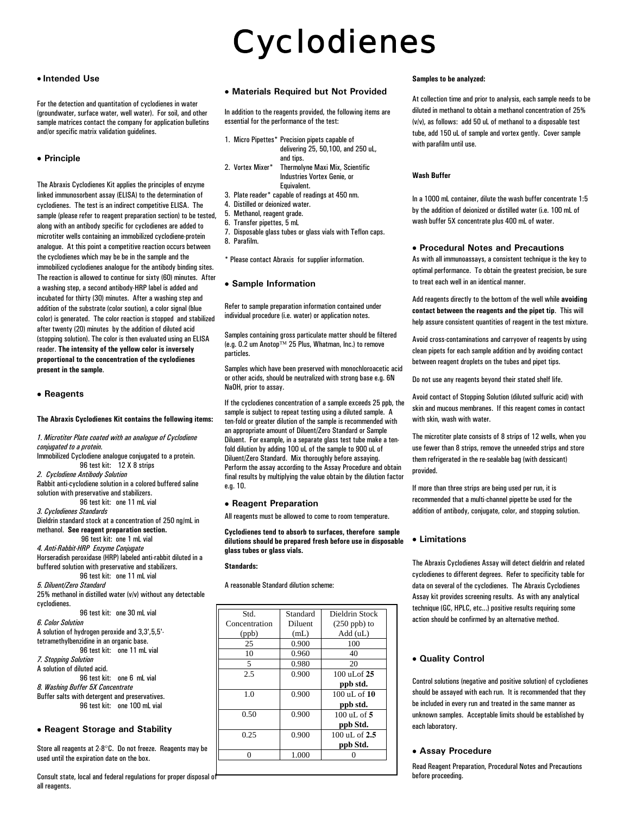# Cyclodienes

## • **Intended Use**

For the detection and quantitation of cyclodienes in water (groundwater, surface water, well water). For soil, and other sample matrices contact the company for application bulletins and/or specific matrix validation guidelines.

## • **Principle**

The Abraxis Cyclodienes Kit applies the principles of enzyme linked immunosorbent assay (ELISA) to the determination of cyclodienes. The test is an indirect competitive ELISA. The sample (please refer to reagent preparation section) to be tested, along with an antibody specific for cyclodienes are added to microtiter wells containing an immobilized cyclodiene-protein analogue. At this point a competitive reaction occurs between the cyclodienes which may be be in the sample and the immobilized cyclodienes analogue for the antibody binding sites. The reaction is allowed to continue for sixty (60) minutes. After a washing step, a second antibody-HRP label is added and incubated for thirty (30) minutes. After a washing step and addition of the substrate (color soution), a color signal (blue color) is generated. The color reaction is stopped and stabilized after twenty (20) minutes by the addition of diluted acid (stopping solution). The color is then evaluated using an ELISA reader. **The intensity of the yellow color is inversely proportional to the concentration of the cyclodienes present in the sample**.

## • **Reagents**

#### **The Abraxis Cyclodienes Kit contains the following items:**

*1. Microtiter Plate coated with an analogue of Cyclodiene* 

*conjugated to a protein.* Immobilized Cyclodiene analogue conjugated to a protein. 96 test kit: 12 X 8 strips *2. Cyclodiene Antibody Solution*  Rabbit anti-cyclodiene solution in a colored buffered saline solution with preservative and stabilizers. 96 test kit: one 11 mL vial *3. Cyclodienes Standards* Dieldrin standard stock at a concentration of 250 ng/mL in methanol. **See reagent preparation section.**  96 test kit: one 1 mL vial *4. Anti-Rabbit-HRP Enzyme Conjugate* Horseradish peroxidase (HRP) labeled anti-rabbit diluted in a buffered solution with preservative and stabilizers. 96 test kit: one 11 mL vial *5. Diluent/Zero Standard* 25% methanol in distilled water (v/v) without any detectable cyclodienes. 96 test kit: one 30 mL vial

*6. Color Solution* A solution of hydrogen peroxide and 3,3',5,5' tetramethylbenzidine in an organic base. 96 test kit: one 11 mL vial *7. Stopping Solution* A solution of diluted acid. 96 test kit: one 6 mL vial

*8. Washing Buffer 5X Concentrate* Buffer salts with detergent and preservatives. 96 test kit: one 100 mL vial

#### • **Reagent Storage and Stability**

Store all reagents at 2-8°C. Do not freeze. Reagents may be used until the expiration date on the box.

Consult state, local and federal regulations for proper disposal of all reagents.

#### • **Materials Required but Not Provided**

In addition to the reagents provided, the following items are essential for the performance of the test:

- 1. Micro Pipettes\* Precision pipets capable of delivering 25, 50,100, and 250 uL, and tips.<br>2. Vortex Mixer\* Thermol
- Thermolyne Maxi Mix, Scientific Industries Vortex Genie, or Equivalent.
- 3. Plate reader\* capable of readings at 450 nm.
- 4. Distilled or deionized water.
- 5. Methanol, reagent grade.
- 6. Transfer pipettes, 5 mL
- 7. Disposable glass tubes or glass vials with Teflon caps.
- 8. Parafilm.

\* Please contact Abraxis for supplier information.

## • **Sample Information**

Refer to sample preparation information contained under individual procedure (i.e. water) or application notes.

Samples containing gross particulate matter should be filtered (e.g. 0.2 um Anotop™ 25 Plus, Whatman, Inc.) to remove particles.

Samples which have been preserved with monochloroacetic acid or other acids, should be neutralized with strong base e.g. 6N NaOH, prior to assay.

If the cyclodienes concentration of a sample exceeds 25 ppb, the sample is subject to repeat testing using a diluted sample. A ten-fold or greater dilution of the sample is recommended with an appropriate amount of Diluent/Zero Standard or Sample Diluent. For example, in a separate glass test tube make a tenfold dilution by adding 100 uL of the sample to 900 uL of Diluent/Zero Standard. Mix thoroughly before assaying. Perform the assay according to the Assay Procedure and obtain final results by multiplying the value obtain by the dilution factor e.g. 10.

## • **Reagent Preparation**

All reagents must be allowed to come to room temperature.

**Cyclodienes tend to absorb to surfaces, therefore sample dilutions should be prepared fresh before use in disposable glass tubes or glass vials.** 

#### **Standards:**

A reasonable Standard dilution scheme:

| Std.          | Standard | Dieldrin Stock           |
|---------------|----------|--------------------------|
| Concentration | Diluent  | $(250$ ppb) to           |
| (ppb)         | (mL)     | Add (uL)                 |
| 25            | 0.900    | 100                      |
| 10            | 0.960    | 40                       |
| 5             | 0.980    | 20                       |
| 2.5           | 0.900    | $100$ uL of $25$         |
|               |          | ppb std.                 |
| 1.0           | 0.900    | $100 \text{ uL of } 10$  |
|               |          | ppb std.                 |
| 0.50          | 0.900    | $100 \text{ uL of } 5$   |
|               |          | ppb Std.                 |
| 0.25          | 0.900    | $100 \text{ uL of } 2.5$ |
|               |          | ppb Std.                 |
| 0             | 1.000    |                          |

#### **Samples to be analyzed:**

At collection time and prior to analysis, each sample needs to be diluted in methanol to obtain a methanol concentration of 25% (v/v), as follows: add 50 uL of methanol to a disposable test tube, add 150 uL of sample and vortex gently. Cover sample with parafilm until use.

#### **Wash Buffer**

In a 1000 mL container, dilute the wash buffer concentrate 1:5 by the addition of deionized or distilled water (i.e. 100 mL of wash buffer 5X concentrate plus 400 mL of water.

## • **Procedural Notes and Precautions**

As with all immunoassays, a consistent technique is the key to optimal performance. To obtain the greatest precision, be sure to treat each well in an identical manner.

Add reagents directly to the bottom of the well while **avoiding contact between the reagents and the pipet tip**. This will help assure consistent quantities of reagent in the test mixture.

Avoid cross-contaminations and carryover of reagents by using clean pipets for each sample addition and by avoiding contact between reagent droplets on the tubes and pipet tips.

Do not use any reagents beyond their stated shelf life.

Avoid contact of Stopping Solution (diluted sulfuric acid) with skin and mucous membranes. If this reagent comes in contact with skin, wash with water.

The microtiter plate consists of 8 strips of 12 wells, when you use fewer than 8 strips, remove the unneeded strips and store them refrigerated in the re-sealable bag (with dessicant) provided.

If more than three strips are being used per run, it is recommended that a multi-channel pipette be used for the addition of antibody, conjugate, color, and stopping solution.

## • **Limitations**

The Abraxis Cyclodienes Assay will detect dieldrin and related cyclodienes to different degrees. Refer to specificity table for data on several of the cyclodienes. The Abraxis Cyclodienes Assay kit provides screening results. As with any analytical technique (GC, HPLC, etc...) positive results requiring some action should be confirmed by an alternative method.

## • **Quality Control**

Control solutions (negative and positive solution) of cyclodienes should be assayed with each run. It is recommended that they be included in every run and treated in the same manner as unknown samples. Acceptable limits should be established by each laboratory.

## • **Assay Procedure**

Read Reagent Preparation, Procedural Notes and Precautions before proceeding.